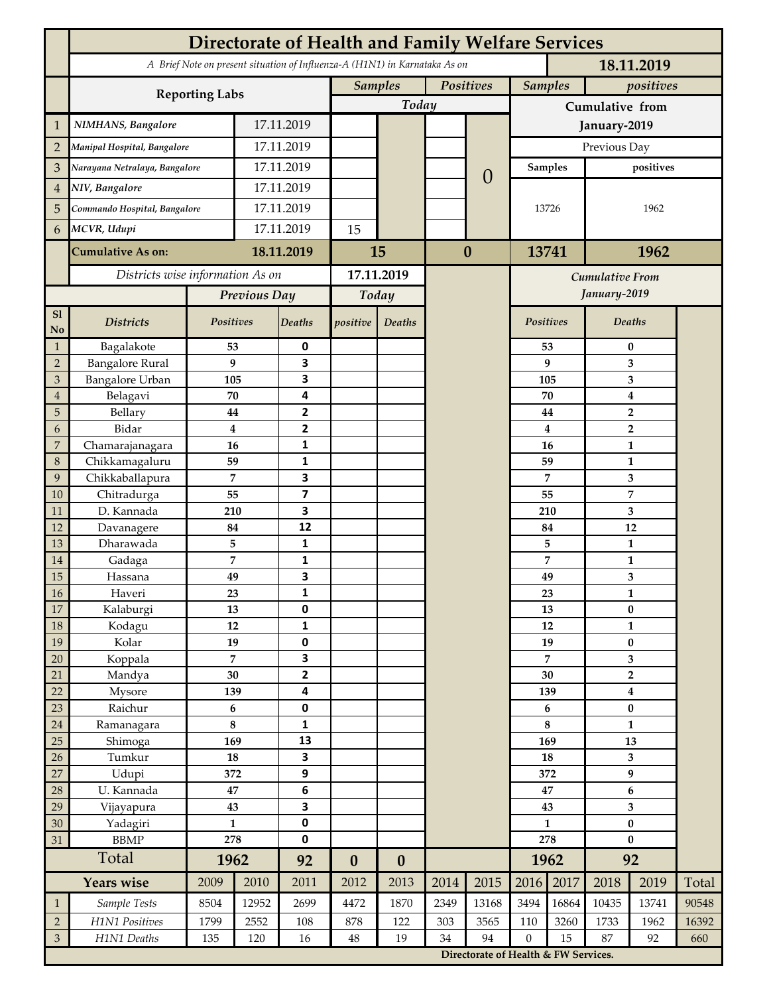|                 | <b>Directorate of Health and Family Welfare Services</b>                                 |                  |            |                         |                  |                  |           |                                      |                         |              |                           |                         |       |  |
|-----------------|------------------------------------------------------------------------------------------|------------------|------------|-------------------------|------------------|------------------|-----------|--------------------------------------|-------------------------|--------------|---------------------------|-------------------------|-------|--|
|                 | A Brief Note on present situation of Influenza-A (H1N1) in Karnataka As on<br>18.11.2019 |                  |            |                         |                  |                  |           |                                      |                         |              |                           |                         |       |  |
|                 | <b>Reporting Labs</b>                                                                    |                  |            |                         | <b>Samples</b>   |                  | Positives |                                      | <b>Samples</b>          |              | positives                 |                         |       |  |
|                 |                                                                                          |                  |            |                         |                  | Today            |           |                                      | Cumulative from         |              |                           |                         |       |  |
| $\mathbf{1}$    | NIMHANS, Bangalore                                                                       | 17.11.2019       |            |                         |                  |                  |           | January-2019                         |                         |              |                           |                         |       |  |
| $\overline{2}$  | Manipal Hospital, Bangalore                                                              |                  |            | 17.11.2019              |                  |                  |           |                                      | Previous Day            |              |                           |                         |       |  |
| 3               | Narayana Netralaya, Bangalore                                                            |                  |            | 17.11.2019              |                  |                  | $\left($  |                                      | <b>Samples</b>          |              | positives                 |                         |       |  |
| $\overline{4}$  | NIV, Bangalore                                                                           |                  | 17.11.2019 |                         |                  |                  |           |                                      |                         |              |                           |                         |       |  |
| 5               | Commando Hospital, Bangalore                                                             |                  | 17.11.2019 |                         |                  |                  |           |                                      | 13726                   |              | 1962                      |                         |       |  |
| 6               | MCVR, Udupi                                                                              |                  | 17.11.2019 |                         | 15               |                  |           |                                      |                         |              |                           |                         |       |  |
|                 |                                                                                          |                  |            |                         |                  |                  | $\bf{0}$  |                                      |                         |              |                           |                         |       |  |
|                 | <b>Cumulative As on:</b>                                                                 |                  | 18.11.2019 |                         | 15               |                  |           |                                      | 13741                   |              | 1962                      |                         |       |  |
|                 | Districts wise information As on                                                         |                  |            | 17.11.2019              |                  |                  |           |                                      |                         |              | <b>Cumulative From</b>    |                         |       |  |
|                 |                                                                                          | Previous Day     |            | Today                   |                  |                  |           |                                      |                         | January-2019 |                           |                         |       |  |
| S1<br>No        | <b>Districts</b>                                                                         | Positives        |            | Deaths                  | positive         | Deaths           |           |                                      | Positives               |              |                           | Deaths                  |       |  |
| $\mathbf{1}$    | Bagalakote                                                                               | 53               |            | 0                       |                  |                  |           |                                      |                         | 53           | 0                         |                         |       |  |
| $\overline{2}$  | <b>Bangalore Rural</b>                                                                   | 9                |            | 3                       |                  |                  |           |                                      |                         | 9            | 3                         |                         |       |  |
| 3               | Bangalore Urban                                                                          | 105              |            | 3                       |                  |                  |           |                                      | 105                     |              | 3                         |                         |       |  |
| $\overline{4}$  | Belagavi                                                                                 | 70               |            | 4                       |                  |                  |           |                                      |                         | 70           | $\boldsymbol{4}$          |                         |       |  |
| 5<br>6          | Bellary<br>Bidar                                                                         | 44<br>$\bf{4}$   |            | 2<br>$\overline{2}$     |                  |                  |           |                                      |                         | 44<br>4      |                           | $\overline{2}$          |       |  |
| 7               | Chamarajanagara                                                                          | 16               |            | 1                       |                  |                  |           |                                      |                         | 16           | $\overline{2}$<br>1       |                         |       |  |
| 8               | Chikkamagaluru                                                                           | 59               |            | 1                       |                  |                  |           |                                      |                         | 59           |                           | 1                       |       |  |
| 9               | Chikkaballapura                                                                          | 7                |            | 3                       |                  |                  |           |                                      |                         | 7            |                           | 3                       |       |  |
| 10              | Chitradurga                                                                              | 55               |            | $\overline{\mathbf{z}}$ |                  |                  |           |                                      |                         | 55           |                           | 7                       |       |  |
| 11              | D. Kannada                                                                               | 210              |            | 3                       |                  |                  |           |                                      |                         | 210          |                           | 3                       |       |  |
| 12              | Davanagere                                                                               | 84               |            | 12                      |                  |                  |           |                                      |                         | 84           |                           | 12                      |       |  |
| 13              | Dharawada                                                                                | 5                |            | $\mathbf{1}$            |                  |                  |           |                                      |                         | 5            | $\mathbf{1}$              |                         |       |  |
| 14              | Gadaga                                                                                   | 7                |            | 1<br>3                  |                  |                  |           |                                      |                         | 7            | 1<br>3                    |                         |       |  |
| 15<br><b>16</b> | Hassana<br>Haveri                                                                        | 49<br>23         |            | 1                       |                  |                  |           |                                      |                         | 49<br>23     | 1                         |                         |       |  |
| 17              | Kalaburgi                                                                                | 13               |            | 0                       |                  |                  |           |                                      |                         | 13           | $\pmb{0}$                 |                         |       |  |
| 18              | Kodagu                                                                                   | 12               |            | $\mathbf{1}$            |                  |                  |           |                                      |                         | 12           | $\mathbf{1}$              |                         |       |  |
| 19              | Kolar                                                                                    | 19               |            | 0                       |                  |                  |           |                                      |                         | 19           |                           | $\pmb{0}$               |       |  |
| 20              | Koppala                                                                                  | $\overline{7}$   |            | 3                       |                  |                  |           |                                      |                         | 7            |                           | 3                       |       |  |
| 21              | Mandya                                                                                   | $30\,$           |            | $\mathbf{2}$            |                  |                  |           |                                      | 30                      |              | $\mathbf 2$               |                         |       |  |
| 22              | Mysore                                                                                   | 139              |            | 4                       |                  |                  |           |                                      |                         | 139          | $\boldsymbol{4}$          |                         |       |  |
| 23              | Raichur                                                                                  | $\bf 6$          |            | $\pmb{0}$               |                  |                  |           |                                      |                         | 6            | $\pmb{0}$<br>$\mathbf{1}$ |                         |       |  |
| $24\,$<br>25    | Ramanagara<br>Shimoga                                                                    | 8<br>169         |            | 1<br>13                 |                  |                  |           |                                      | 8<br>169                |              | 13                        |                         |       |  |
| 26              | Tumkur                                                                                   | ${\bf 18}$       |            | 3                       |                  |                  |           |                                      | 18                      |              | 3                         |                         |       |  |
| 27              | Udupi                                                                                    | 372              |            | 9                       |                  |                  |           |                                      | 372                     |              | 9                         |                         |       |  |
| 28              | U. Kannada                                                                               | $\bf 47$         |            | $\bf 6$                 |                  |                  |           |                                      | 47                      |              | $\bf 6$                   |                         |       |  |
| 29              | Vijayapura                                                                               | 43               |            | 3                       |                  |                  |           |                                      |                         | 43           |                           | $\overline{\mathbf{3}}$ |       |  |
| 30              | Yadagiri                                                                                 | $\mathbf{1}$     |            | 0<br>0                  |                  |                  |           |                                      | $\mathbf{1}$            |              | $\pmb{0}$                 |                         |       |  |
| 31              | <b>BBMP</b>                                                                              |                  | 278        |                         |                  |                  |           |                                      | 278                     |              | $\bf{0}$                  |                         |       |  |
|                 | Total                                                                                    | 1962             |            | 92                      | $\boldsymbol{0}$ | $\boldsymbol{0}$ |           |                                      |                         | 1962         | 92                        |                         |       |  |
|                 | <b>Years wise</b>                                                                        | 2009             | 2010       | 2011                    | 2012             | 2013             | 2014      | 2015                                 | 2016                    | 2017         | 2018                      | 2019                    | Total |  |
| $\mathbf{1}$    | Sample Tests                                                                             | 8504             | 12952      | 2699                    | 4472             | 1870             | 2349      | 13168                                | 3494                    | 16864        | 10435                     | 13741                   | 90548 |  |
| $\overline{2}$  | H1N1 Positives                                                                           | 1799             | 2552       | 108                     | 878              | 122              | 303       | 3565                                 | 110<br>$\boldsymbol{0}$ | 3260         | 1733                      | 1962                    | 16392 |  |
| $\mathfrak{Z}$  | H1N1 Deaths                                                                              | 135<br>120<br>16 |            | $48\,$                  | 19               | 34               | 94        |                                      | 15                      | 87<br>92     |                           | 660                     |       |  |
|                 |                                                                                          |                  |            |                         |                  |                  |           | Directorate of Health & FW Services. |                         |              |                           |                         |       |  |